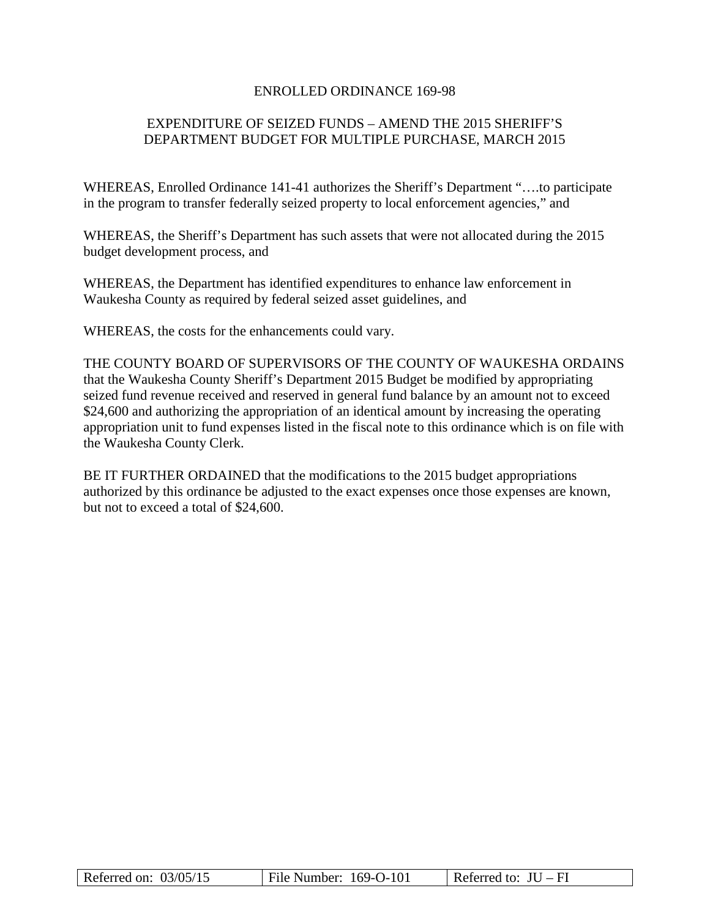#### ENROLLED ORDINANCE 169-98

# EXPENDITURE OF SEIZED FUNDS – AMEND THE 2015 SHERIFF'S DEPARTMENT BUDGET FOR MULTIPLE PURCHASE, MARCH 2015

WHEREAS, Enrolled Ordinance 141-41 authorizes the Sheriff's Department "….to participate in the program to transfer federally seized property to local enforcement agencies," and

WHEREAS, the Sheriff's Department has such assets that were not allocated during the 2015 budget development process, and

WHEREAS, the Department has identified expenditures to enhance law enforcement in Waukesha County as required by federal seized asset guidelines, and

WHEREAS, the costs for the enhancements could vary.

THE COUNTY BOARD OF SUPERVISORS OF THE COUNTY OF WAUKESHA ORDAINS that the Waukesha County Sheriff's Department 2015 Budget be modified by appropriating seized fund revenue received and reserved in general fund balance by an amount not to exceed \$24,600 and authorizing the appropriation of an identical amount by increasing the operating appropriation unit to fund expenses listed in the fiscal note to this ordinance which is on file with the Waukesha County Clerk.

BE IT FURTHER ORDAINED that the modifications to the 2015 budget appropriations authorized by this ordinance be adjusted to the exact expenses once those expenses are known, but not to exceed a total of \$24,600.

| Referred on: $03/05/15$ | File Number: $169-O-101$ | Referred to: $JU - FI$ |
|-------------------------|--------------------------|------------------------|
|-------------------------|--------------------------|------------------------|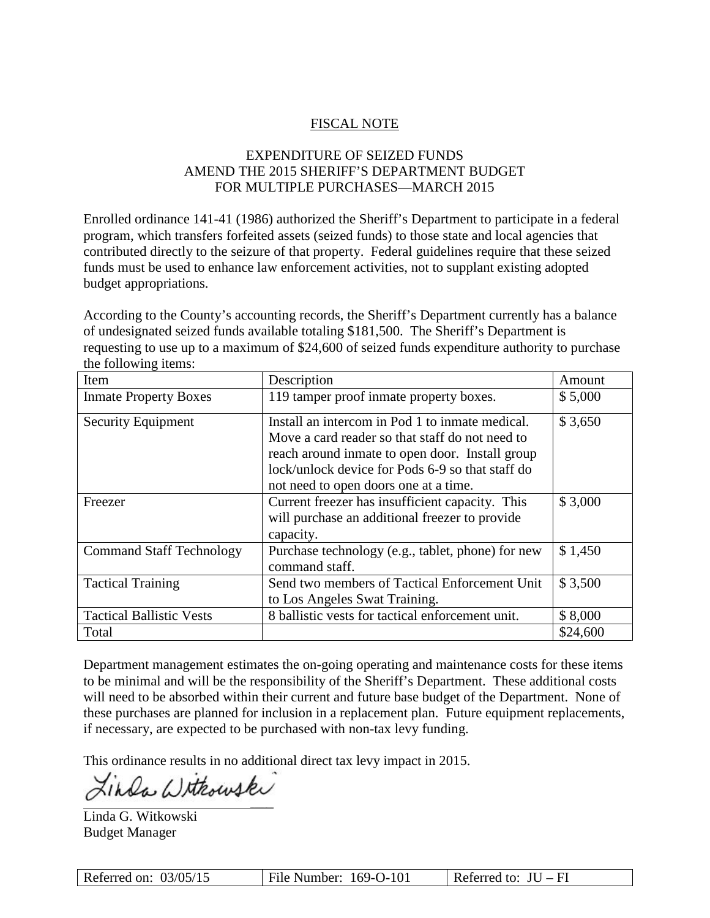## FISCAL NOTE

## EXPENDITURE OF SEIZED FUNDS AMEND THE 2015 SHERIFF'S DEPARTMENT BUDGET FOR MULTIPLE PURCHASES—MARCH 2015

Enrolled ordinance 141-41 (1986) authorized the Sheriff's Department to participate in a federal program, which transfers forfeited assets (seized funds) to those state and local agencies that contributed directly to the seizure of that property. Federal guidelines require that these seized funds must be used to enhance law enforcement activities, not to supplant existing adopted budget appropriations.

According to the County's accounting records, the Sheriff's Department currently has a balance of undesignated seized funds available totaling \$181,500. The Sheriff's Department is requesting to use up to a maximum of \$24,600 of seized funds expenditure authority to purchase the following items:

| Item                                                                                                                                                                                                                                   | Description                                                                                                    | Amount   |
|----------------------------------------------------------------------------------------------------------------------------------------------------------------------------------------------------------------------------------------|----------------------------------------------------------------------------------------------------------------|----------|
| <b>Inmate Property Boxes</b>                                                                                                                                                                                                           | 119 tamper proof inmate property boxes.                                                                        | \$5,000  |
| Install an intercom in Pod 1 to inmate medical.<br><b>Security Equipment</b><br>Move a card reader so that staff do not need to<br>reach around inmate to open door. Install group<br>lock/unlock device for Pods 6-9 so that staff do |                                                                                                                | \$3,650  |
|                                                                                                                                                                                                                                        | not need to open doors one at a time.                                                                          |          |
| Freezer                                                                                                                                                                                                                                | Current freezer has insufficient capacity. This<br>will purchase an additional freezer to provide<br>capacity. | \$3,000  |
| <b>Command Staff Technology</b>                                                                                                                                                                                                        | Purchase technology (e.g., tablet, phone) for new<br>command staff.                                            | \$1,450  |
| <b>Tactical Training</b>                                                                                                                                                                                                               | Send two members of Tactical Enforcement Unit<br>to Los Angeles Swat Training.                                 | \$3,500  |
| <b>Tactical Ballistic Vests</b>                                                                                                                                                                                                        | 8 ballistic vests for tactical enforcement unit.                                                               | \$8,000  |
| Total                                                                                                                                                                                                                                  |                                                                                                                | \$24,600 |

Department management estimates the on-going operating and maintenance costs for these items to be minimal and will be the responsibility of the Sheriff's Department. These additional costs will need to be absorbed within their current and future base budget of the Department. None of these purchases are planned for inclusion in a replacement plan. Future equipment replacements, if necessary, are expected to be purchased with non-tax levy funding.

This ordinance results in no additional direct tax levy impact in 2015.

 $\mathcal{L}=\mathcal{L}$ 

Linda Withouski

Linda G. Witkowski Budget Manager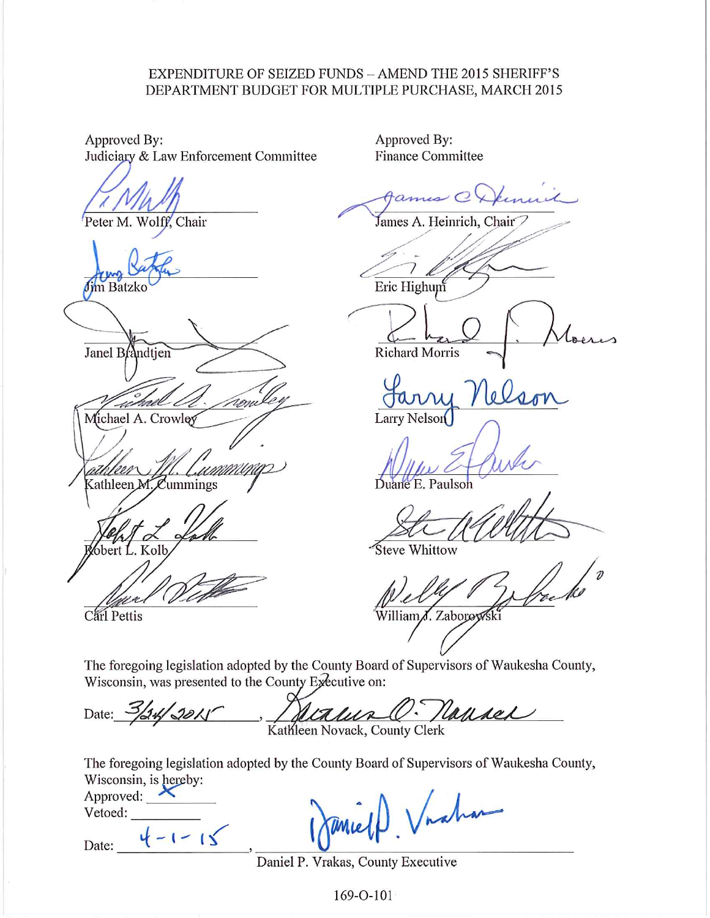### EXPENDITURE OF SEIZED FUNDS - AMEND THE 2015 SHERIFF'S DEPARTMENT BUDGET FOR MULTIPLE PURCHASE, MARCH 2015

Approved By: Judiciary & Law Enforcement Committee

Peter M. Wolff, Chair

im Batzko

Janel Brandtjen

Michael A. Crowley MMMU,

Kathleen M. Cummings

bert L. Kolb

Carl Pettis

Approved By: **Finance Committee** 

س ر

James A. Heinrich, Chair⊃

Eric Highum

**Richard Morris** 

10 Larry Nelson

Duane E. Paulson

**Steve Whittow** 

William*J*. Zaborowski

The foregoing legislation adopted by the County Board of Supervisors of Waukesha County, Wisconsin, was presented to the County Executive on:

<u>/ Natura (O. Naturel</u> Date:

The foregoing legislation adopted by the County Board of Supervisors of Waukesha County, Wisconsin, is hereby:

Approved:  $\triangle$ Vetoed:

 $4 - 1 - 15$ Date:

Vraha

Daniel P. Vrakas, County Executive

169-O-101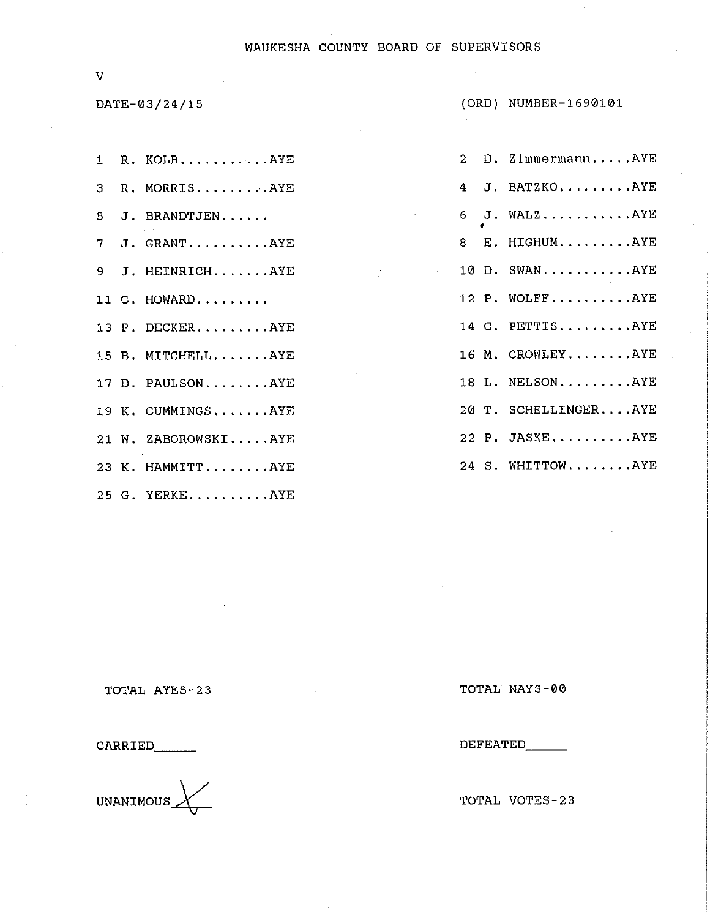#### WAUKESHA COUNTY BOARD OF SUPERVISORS

 $\bar{V}$ 

DATE-03/24/15

|  | 1 R. KOLBAYE        |
|--|---------------------|
|  | 3 R. MORRISAYE      |
|  | 5 J. BRANDTJEN      |
|  | 7 J. GRANTAYE       |
|  | 9 J. HEINRICHAYE    |
|  | 11 C. HOWARD        |
|  | 13 P. DECKERAYE     |
|  | 15 B. MITCHELLAYE   |
|  | 17 D. PAULSONAYE    |
|  | 19 K. CUMMINGSAYE   |
|  | 21 W. ZABOROWSKIAYE |
|  | 23 K. HAMMITTAYE    |
|  | 25 G. YERKEAYE      |

| $\mathbf{2}$ | D. ZimmermannAYE     |
|--------------|----------------------|
|              | 4 J. BATZKOAYE       |
|              | $6$ J. WALZAYE       |
|              | 8 E. HIGHUMAYE       |
|              | 10 D. SWANAYE        |
|              | 12 P. WOLFFAYE       |
|              | 14 C. PETTISAYE      |
|              | 16 M. CROWLEYAYE     |
|              | 18 L. NELSONAYE      |
|              | 20 T. SCHELLINGERAYE |
|              | 22 P. JASKEAYE       |
|              | 24 S. WHITTOWAYE     |

TOTAL AYES-23

CARRIED

 $\sim 10^{-1}$ 

 $\leftarrow$ UNANIMOUS\_

TOTAL NAYS-00

DEFEATED\_\_\_

TOTAL VOTES-23

(ORD) NUMBER-1690101